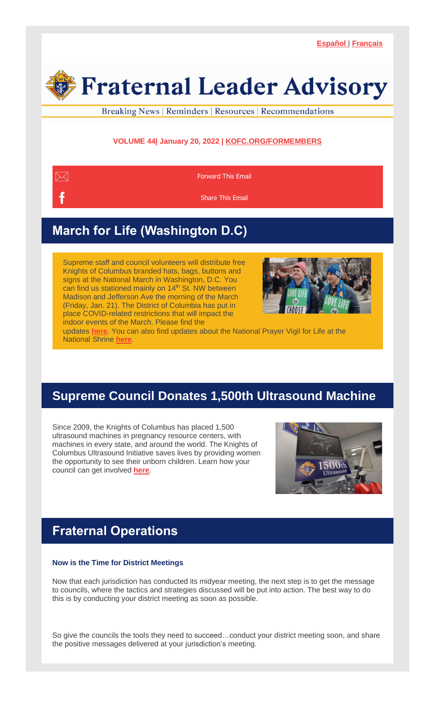

Breaking News | Reminders | Resources | Recommendations

### **VOLUME 44| January 20, 2022 | [KOFC.ORG/FORMEMBERS](https://r20.rs6.net/tn.jsp?f=0018bkSy9PF8V3kAOCAUqT3NZInbD2oiTJ68oCk0S_t-CHMG-CgNRnW4SOIJ4yoNnrPHvxKeqvCWC3TYmf728vBeCNqNFIfAIoZ53-aK_aAEsjXaDRwPFcfP0ynvfFfGfjsfLy-aLqDdRNQO61gRWSFl_448YstShPPhVqULLgWJ9CW3bHqKVx0J5NPB80O6def0hkXfJo8yoqTKgOJZycDrNQjBuv17WhMEjnUBNRRrRDiacgrXtEHHDbvdfotvCSg64Czyf-NGe-kfDkrms5fFEbKZ5yZ_rxvgbnd_X_SwrLqUjzoy62yBjA4FMTotSRjwMwRw8oLISg=&c=lwqjY6j1lqUWpseXyBq4BplnqA98lPFVlVMB4iYk5k1GvCvp0agUPQ==&ch=1tONnhYcWtf5f6FAZQV8uiTuMP97MdpoN_b6DAngcjPycfwlMvJk1w==)**



[Forward](mailto:?subject=Advancing%20the%20Fight%20for%20Life&body=https://conta.cc/3tKQE0I) This Email

[Share](https://r20.rs6.net/tn.jsp?f=0018bkSy9PF8V3kAOCAUqT3NZInbD2oiTJ68oCk0S_t-CHMG-CgNRnW4VFoS77wxBH_elcDNSe0XcacHxgCWl63VUNFLtR3IgUx09yBM0PY0bvN4m_Kw0dK_srcf38CSg_twKcMFxYhe5bB1qFX2iFPAFWYhi3pdA3iXwITraHii4RDwr3CYXg87SaTA976DKTq2N6xuIjomX62XqcOE47phi5pfW3r7ury&c=lwqjY6j1lqUWpseXyBq4BplnqA98lPFVlVMB4iYk5k1GvCvp0agUPQ==&ch=1tONnhYcWtf5f6FAZQV8uiTuMP97MdpoN_b6DAngcjPycfwlMvJk1w==) This Email

# **March for Life (Washington D.C)**

Supreme staff and council volunteers will distribute free Knights of Columbus branded hats, bags, buttons and signs at the National March in Washington, D.C. You can find us stationed mainly on 14<sup>th</sup> St. NW between Madison and Jefferson Ave the morning of the March (Friday, Jan. 21). The District of Columbia has put in place COVID-related restrictions that will impact the indoor events of the March. Please find the



updates **[here](https://r20.rs6.net/tn.jsp?f=0018bkSy9PF8V3kAOCAUqT3NZInbD2oiTJ68oCk0S_t-CHMG-CgNRnW4VFoS77wxBH_dfwHAohiMxqv_MHvACe5LnXnTRExIAQiBY5Oe9lZ3JaVfIQNJ32qU-DSIS3BncmIWeHlD7aqD3fpsSRDdtqFUA5r0Asray57xmRDiG7r9C7N9TDEeaOynVbEFFqgRDTu4mXttZQYpgmYXhv04eE9re4H9KQVPIGdPi8KdxG6gmv1wsYI58yAY43-43HemK67GsTNGuhlTa355h69VaZcyF7k8ihOY3g3x0Mb5zbkaIKC_472y-S9a_715bXmLoXmxxZe1kYHwuaU28i8lmqe2EyaVAFXz1_14NQ9Yyok2oE6vgBN0O1Jf2HG8G0pyJtdFoe2lqKWY8fyAaECxf32zX-462VF9n3awqWa43f42EXClfoVtdUCsaTcrWjEKjQnKGm9tH27e10d1sDHszdaRk1WTeDvDH7hGYNi-QjWJeHlCWinhZ406ZqqahcRU9sbp0rk54WsVx8UEEWJGKO5_7YiJr6LFe-WAxio1JDafrKmqP9do8qGN3rCvrHdTlhGjCiNuaxn2a0kZoBU5eotslkN30X_pQN5QWCJMvWt2_k3ZZb_9LLGG-Zx1A-i6c1n7EbIbYUkpYlxlumMCWnF4n5bqPsxvUkicdbHYmf9WOG-Ty1TnHDeG-ujGLpJ6h3Jz0xejT2lOdrw4T91k3K5Iw==&c=lwqjY6j1lqUWpseXyBq4BplnqA98lPFVlVMB4iYk5k1GvCvp0agUPQ==&ch=1tONnhYcWtf5f6FAZQV8uiTuMP97MdpoN_b6DAngcjPycfwlMvJk1w==)**. You can also find updates about the National Prayer Vigil for Life at the National Shrine **[here](https://r20.rs6.net/tn.jsp?f=0018bkSy9PF8V3kAOCAUqT3NZInbD2oiTJ68oCk0S_t-CHMG-CgNRnW4VFoS77wxBH_QFK7WKHAhzRZ5WaAgQ3_4CI6o0I5k5NuN8OP2Zd1XBFVotCGwD9EyRlBpI5zYvXLypgij8cMMxBgCvlP_z0GkBWkApr072S6D13xX5wR3UbmN5A0ll3MoFL3NrqdGR-OZqdbjKUmbTJ6hcBiy_ic8WPhutKrGBzLgVEzNNENE-8WctbNUGiuqb_RdKNE6kP3DiQEg1zc4iBAcZjVNBAmISGZAB0BWI35DWZ0Vz86UoxJYf5p4RJ0deINO4WRK9WIidQPIYRI2ArAbpwBvXpxuKb6EGVb3XBpkDWMSm7lDB9kdmvbEm7MP-zNqaiEWo-S4IASZ2eB-al7JqxO42WQhwkSx_fAKG0Sgk0Yl_PEJfVRDoftxlciwoxOvPC91DWgdhj4X5yJTVIKRo7cUHq6SWIiwgh0ubFtxSmUO-pFMbQLQ7GEB2BGhDdHZW6dBJoyPAQMWC0a8HklHrGDWFNVi8rToh2ZBntbpK2T3pVVTbkoYp-17bdyFWNWdFo6hQkLTzJUcyzBE-5nX8187nJm2P0gjj6962-xcWIyGTupYhGGJybRgKgT9d_wc36x1ZM9wrBHJZWrxedF1xKj3UALwUV6CLQwGvsdvHC_UfuMtAk9xu17U0ZAv30h3ZplY-ZK3-sbmQyxj4lx-ntP4vtxyPK-umyEDrOhTKpKUBursz45YvZXxMebbI2dmgxj4qpY&c=lwqjY6j1lqUWpseXyBq4BplnqA98lPFVlVMB4iYk5k1GvCvp0agUPQ==&ch=1tONnhYcWtf5f6FAZQV8uiTuMP97MdpoN_b6DAngcjPycfwlMvJk1w==)**.

## **Supreme Council Donates 1,500th Ultrasound Machine**

Since 2009, the Knights of Columbus has placed 1,500 ultrasound machines in pregnancy resource centers, with machines in every state, and around the world. The Knights of Columbus Ultrasound Initiative saves lives by providing women the opportunity to see their unborn children. Learn how your council can get involved **[here](https://r20.rs6.net/tn.jsp?f=0018bkSy9PF8V3kAOCAUqT3NZInbD2oiTJ68oCk0S_t-CHMG-CgNRnW4bsZUa3SgSAjEqWbD2OvGjvu_B9KCYPMDc8d00HRzNiXcE461PSOib-oPJxBBBT4o1whRleDXvxzQSO3pYzs9bemPi1sJEY17g-xOsFVGlxDiqiw46gGJsvdzY_NShozUnubtvWV0G0y1x0ASD_fhloCfNDZctxkCOXCm0qgOV6zSNW-NXT4-kdKXGxgByNUUpVCavh7WH-w7VOGJfjyvlfApUvBg20H4OQVkYQROCIJxBczoCfcaH84RjM6eJqpUQv3oIN8cU3TXG_7KZvI1jj8ubBXWOUDBn9Q-6qk2ZUCj-1QbgQX0ddKqCS2cT1INPpv_b2HtFNT&c=lwqjY6j1lqUWpseXyBq4BplnqA98lPFVlVMB4iYk5k1GvCvp0agUPQ==&ch=1tONnhYcWtf5f6FAZQV8uiTuMP97MdpoN_b6DAngcjPycfwlMvJk1w==)**.



## **Fraternal Operations**

#### **Now is the Time for District Meetings**

Now that each jurisdiction has conducted its midyear meeting, the next step is to get the message to councils, where the tactics and strategies discussed will be put into action. The best way to do this is by conducting your district meeting as soon as possible.

So give the councils the tools they need to succeed…conduct your district meeting soon, and share the positive messages delivered at your jurisdiction's meeting.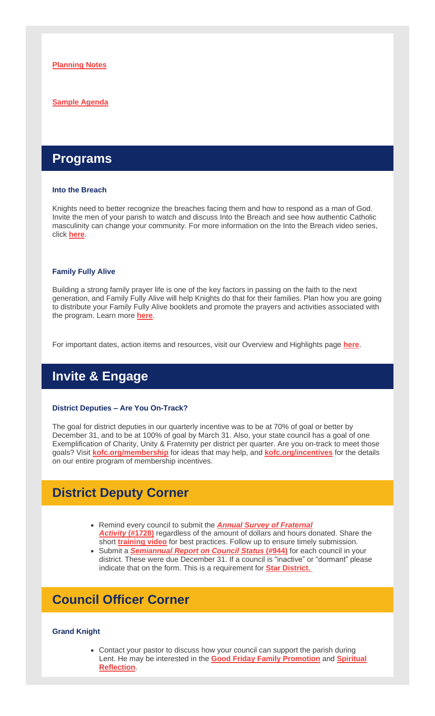#### **Sample [Agenda](https://r20.rs6.net/tn.jsp?f=0018bkSy9PF8V3kAOCAUqT3NZInbD2oiTJ68oCk0S_t-CHMG-CgNRnW4YbyYKmXdKHqeLIOxz9RgIL2Xc2ltpUlFdNMTN99TombOgykz6uyEn_lYDZUI-jfb4ljHvkmyo-mhI4eP0rq4D1zzD2A_xE5u6nhNz3xmukHRJpJjsJ8KhcVoePsEbLOCAPaqTqHujpb679GBUTTP4z23-RTpbp7MaNtAaZl5iCC79wYkAHVSpMkekPMUqn9Lna34Z7i8toSpH1BXkK55MnFUfk8cE_rn97GpJakrKnuaJSmS54m7IdWiqscVWVZXeD8j_Lcv_fkzhcBbTV_BFLXgD52FZDxHuQ2R7TcMWRU0a3Zi05YS1tXz1Ay30dfqA==&c=lwqjY6j1lqUWpseXyBq4BplnqA98lPFVlVMB4iYk5k1GvCvp0agUPQ==&ch=1tONnhYcWtf5f6FAZQV8uiTuMP97MdpoN_b6DAngcjPycfwlMvJk1w==)**

### **Programs**

#### **Into the Breach**

Knights need to better recognize the breaches facing them and how to respond as a man of God. Invite the men of your parish to watch and discuss Into the Breach and see how authentic Catholic masculinity can change your community. For more information on the Into the Breach video series, click **[here](https://r20.rs6.net/tn.jsp?f=0018bkSy9PF8V3kAOCAUqT3NZInbD2oiTJ68oCk0S_t-CHMG-CgNRnW4cqR_zZBf6zhJKgKiKvlbaynbdQPT-urVzSxtr9k7oiX1mYi7cEUZx12on7vn8yqbUwoonrNmR8PaB50Ry9fcLh5aSdEVarSUxcg9SJKTsYnoDIKGbxMQu3SBBErZcZ395HCxZ-237-o0C7i6EahCK4ftfHaNCaPaMFDYrkNBn1Ty_0DL-ZEEkPSx2YxfJmTcVWbdCMVDhwQTlXcFFviBS5iMu29BkFrOKn4R8kw9VxpZtfxZ-FTbrTOb8Vum_dtAZ95KXk8xLjFQz_W9LinjRs=&c=lwqjY6j1lqUWpseXyBq4BplnqA98lPFVlVMB4iYk5k1GvCvp0agUPQ==&ch=1tONnhYcWtf5f6FAZQV8uiTuMP97MdpoN_b6DAngcjPycfwlMvJk1w==)**.

#### **Family Fully Alive**

Building a strong family prayer life is one of the key factors in passing on the faith to the next generation, and Family Fully Alive will help Knights do that for their families. Plan how you are going to distribute your Family Fully Alive booklets and promote the prayers and activities associated with the program. Learn more **[here](https://r20.rs6.net/tn.jsp?f=0018bkSy9PF8V3kAOCAUqT3NZInbD2oiTJ68oCk0S_t-CHMG-CgNRnW4Y5lM5BwDCMd2p6df6SJYRRoFCVflFBTWoZkIP0RWA54TIWpjQFDY2ntwcRlSh2h-tUDyYX6lwcJXPkcz0qEYFPc34vkSCbDMgVbMF8hmSMrVRPapTtBYaJpP2xir2LkdRJzWAmhMiKy81gA3CTs7ETtH5pxitXqfc8PXDk5bhwJn9olEt59bRe7EDfUSAyaXeBopS5_W3FyDt8PAbMsVaZrdpv9No2Ms00Ziors9fyTaFKYZkPwZHfOVq0CPKtCES5zvv9jQb0g52MP0fr7LgpVGyQguKSKJdkLRa9sMzqJwNBE8Yeg8ec5IbpTjdNBYNuGSAJALJBC&c=lwqjY6j1lqUWpseXyBq4BplnqA98lPFVlVMB4iYk5k1GvCvp0agUPQ==&ch=1tONnhYcWtf5f6FAZQV8uiTuMP97MdpoN_b6DAngcjPycfwlMvJk1w==)**.

For important dates, action items and resources, visit our Overview and Highlights page **[here](https://r20.rs6.net/tn.jsp?f=0018bkSy9PF8V3kAOCAUqT3NZInbD2oiTJ68oCk0S_t-CHMG-CgNRnW4fMFeuZIxx_uMTYnnxRFAVaLSvCNYdRMa_MVC9bDqj5OMgA8BvpPuGtvrXmghzRdqcbJcrwsrKlQWEk4vqNOg1T_CykeA8H1kiY9ERQKLQBOfzsJqkEp3dvQ4hNLn_PosLUw58M233_cuL4wyPWA9DQWO0yuiVTERG1TgPd0PWxMCoJjvR1VGa_kP4P2cemssYCOcMnvjoIEqD5zX4Tn6f9PG3VqPuxVoafBckU2cxja8FEOPlAsSl73qH61skH8HkSl2hfh2S6IbxG7zLKqpANIR5iOC7w3hec1RM987LYmKLMBJqPT4OaWri48xQKtxQ==&c=lwqjY6j1lqUWpseXyBq4BplnqA98lPFVlVMB4iYk5k1GvCvp0agUPQ==&ch=1tONnhYcWtf5f6FAZQV8uiTuMP97MdpoN_b6DAngcjPycfwlMvJk1w==)**.

## **Invite & Engage**

#### **District Deputies – Are You On-Track?**

The goal for district deputies in our quarterly incentive was to be at 70% of goal or better by December 31, and to be at 100% of goal by March 31. Also, your state council has a goal of one Exemplification of Charity, Unity & Fraternity per district per quarter. Are you on-track to meet those goals? Visit **[kofc.org/membership](https://r20.rs6.net/tn.jsp?f=0018bkSy9PF8V3kAOCAUqT3NZInbD2oiTJ68oCk0S_t-CHMG-CgNRnW4VRrdWXupuVChGaJ4d8bivLHxv8zxiA8XdYG6uzdK6tCjajT2CBZPW4HY1z7JZPdNl7bC9K6stOo4S0DsWb6dbOUBxu-h3uG-YGFh_iter17WCd7NtFGXfkQ9N8CbFhgjkY0CqoxIz4A3jhDoJL7MtXHI4TIqJkydEz6XMQ9yH8OYW_vpXAyEoQLiQy4zxTmu2pn6Bk6msXxFqKf9JbVFdoO3zJPf4qfow83y9elSrgRkIdmYzrwDLimyCv81S3HNtZNz-Z5P_I3nJ6k-KaRtfeyZs79KQHgPg==&c=lwqjY6j1lqUWpseXyBq4BplnqA98lPFVlVMB4iYk5k1GvCvp0agUPQ==&ch=1tONnhYcWtf5f6FAZQV8uiTuMP97MdpoN_b6DAngcjPycfwlMvJk1w==)** for ideas that may help, and **[kofc.org/incentives](https://r20.rs6.net/tn.jsp?f=0018bkSy9PF8V3kAOCAUqT3NZInbD2oiTJ68oCk0S_t-CHMG-CgNRnW4fjlY7DKXBwp5CfC26QZuTMtlWIg6tldSw6i0_MlM3RPT_xqjDlQcS3OluJ2e1ETwPp9AlC2aOXjpXcyHzHWWTGqVm0LrojkOTHocRMiY_lc7ph8AIxmf7ojBh2iu3Kial9iXaUxSLmCxWadvvl-F9Ktw7U5qq9UTbOO_Mau83i0ukWoW0cpyXdsc0qeQaKS5nPnsuv-W0Y8WfSWlN1KX5K6dWdKYmSENau1Xe32wv6WQaMjoDcM18LvL87Yhhn6QQXEqjBOvyfdszqIvIHxhDTkU4sv2LKFazZOsg7Uw_FMi-lV-_ID8vQ=&c=lwqjY6j1lqUWpseXyBq4BplnqA98lPFVlVMB4iYk5k1GvCvp0agUPQ==&ch=1tONnhYcWtf5f6FAZQV8uiTuMP97MdpoN_b6DAngcjPycfwlMvJk1w==)** for the details on our entire program of membership incentives.

### **District Deputy Corner**

- Remind every council to submit the *Annual Survey of [Fraternal](https://r20.rs6.net/tn.jsp?f=0018bkSy9PF8V3kAOCAUqT3NZInbD2oiTJ68oCk0S_t-CHMG-CgNRnW4bW9cYSQ88s6GN8PrVA0XVbVeThlm61qVNnxC1reQpK-xJ3a87ce5Dg0lZmdbc-1i6enKgwUv9zExdCcUPKWqDMKVkAl1sDIyJYGZ-ekpPFOgqV1SsmBLhKkc5CDmadbUxCVmNIraDGwOnX3Ll36gjKnaf4kv8CeZbWzo2s49w6Wl2Pe57Wr9p_ToJ56mBe8aML6VOZu5UKB37Z3QqCFsDnaM1EYjkG8kS0ENTAQcBy37ic-rni95U-QJOuzuGzKlfBLy-vSr0i3O6HLVQ3UHLytHqHA_zDSi-TxLtWpcJUc&c=lwqjY6j1lqUWpseXyBq4BplnqA98lPFVlVMB4iYk5k1GvCvp0agUPQ==&ch=1tONnhYcWtf5f6FAZQV8uiTuMP97MdpoN_b6DAngcjPycfwlMvJk1w==) [Activity](https://r20.rs6.net/tn.jsp?f=0018bkSy9PF8V3kAOCAUqT3NZInbD2oiTJ68oCk0S_t-CHMG-CgNRnW4bW9cYSQ88s6GN8PrVA0XVbVeThlm61qVNnxC1reQpK-xJ3a87ce5Dg0lZmdbc-1i6enKgwUv9zExdCcUPKWqDMKVkAl1sDIyJYGZ-ekpPFOgqV1SsmBLhKkc5CDmadbUxCVmNIraDGwOnX3Ll36gjKnaf4kv8CeZbWzo2s49w6Wl2Pe57Wr9p_ToJ56mBe8aML6VOZu5UKB37Z3QqCFsDnaM1EYjkG8kS0ENTAQcBy37ic-rni95U-QJOuzuGzKlfBLy-vSr0i3O6HLVQ3UHLytHqHA_zDSi-TxLtWpcJUc&c=lwqjY6j1lqUWpseXyBq4BplnqA98lPFVlVMB4iYk5k1GvCvp0agUPQ==&ch=1tONnhYcWtf5f6FAZQV8uiTuMP97MdpoN_b6DAngcjPycfwlMvJk1w==)* **[\(#1728\)](https://r20.rs6.net/tn.jsp?f=0018bkSy9PF8V3kAOCAUqT3NZInbD2oiTJ68oCk0S_t-CHMG-CgNRnW4bW9cYSQ88s6GN8PrVA0XVbVeThlm61qVNnxC1reQpK-xJ3a87ce5Dg0lZmdbc-1i6enKgwUv9zExdCcUPKWqDMKVkAl1sDIyJYGZ-ekpPFOgqV1SsmBLhKkc5CDmadbUxCVmNIraDGwfkjT1uyw4h0=&c=lwqjY6j1lqUWpseXyBq4BplnqA98lPFVlVMB4iYk5k1GvCvp0agUPQ==&ch=1tONnhYcWtf5f6FAZQV8uiTuMP97MdpoN_b6DAngcjPycfwlMvJk1w==)** regardless of the amount of dollars and hours donated. Share the short **[training](https://r20.rs6.net/tn.jsp?f=0018bkSy9PF8V3kAOCAUqT3NZInbD2oiTJ68oCk0S_t-CHMG-CgNRnW4SgevA4yKcSLdAnywV9Sh97rn2-gJifjdOtWobIMHsgB77wZMaEbUwLS8DMFAM4vIkKT9w-m0vOk6QC6uZ7Vfpm3ls_9IJKuRbUK0e5jttwxiFdDjnxQO_S3qleiZd94QI1WshcaqFJX4-s2vGotb435WV8SF40gX1a9wuFsZ-27je_cZR6eBW0ngCMYcKjkMwm13E8FTmQsMI3axBEwIeB3DRupm-_R7FNtYsOmqAWl8jzlGFNJiZzYpsWoMzVvtfNEB091d90rmCZEqGR7PHM=&c=lwqjY6j1lqUWpseXyBq4BplnqA98lPFVlVMB4iYk5k1GvCvp0agUPQ==&ch=1tONnhYcWtf5f6FAZQV8uiTuMP97MdpoN_b6DAngcjPycfwlMvJk1w==) video** for best practices. Follow up to ensure timely submission.
- Submit a *[Semiannual](https://r20.rs6.net/tn.jsp?f=0018bkSy9PF8V3kAOCAUqT3NZInbD2oiTJ68oCk0S_t-CHMG-CgNRnW4R-om09w0IBIH3bDaZtd-lh7UKXjMp3JZr8hDyoS0FgmWpNIW538qcvQZJx5HJihRejpCrYAqimDLiMyfu4V3-ugt7NZDmP6Qf0PXKD9YxJLKI4N5rboCLL6y5-s6MKlYs1Xq7AnBWXF--HSrHe7V6DcR8T3DZawrm_tgzUfAr3bsieXIXXni1JtTrichQUaDiAJwIPELJYcx08xxRLNgG3ieNfwsjlqVc0IXfAdJcvm9C1uc5IoSfSG3HPp-rea6pXHjPaZJ360iVCHv-ksIJgmrOI0nb9WRDlefybD-AnRogZJ8GkVkUg=&c=lwqjY6j1lqUWpseXyBq4BplnqA98lPFVlVMB4iYk5k1GvCvp0agUPQ==&ch=1tONnhYcWtf5f6FAZQV8uiTuMP97MdpoN_b6DAngcjPycfwlMvJk1w==) Report on Council Status* **[\(#944\)](https://r20.rs6.net/tn.jsp?f=0018bkSy9PF8V3kAOCAUqT3NZInbD2oiTJ68oCk0S_t-CHMG-CgNRnW4R-om09w0IBIH3bDaZtd-lh7UKXjMp3JZr8hDyoS0FgmWpNIW538qcvQZJx5HJihRejpCrYAqimDLiMyfu4V3-ugt7NZDmP6Qf0PXKD9YxJLKI4N5rboCLL6y5-s6MKlYs1Xq7AnBWXF--HSrHe7V6AGfiE3q4dNKg==&c=lwqjY6j1lqUWpseXyBq4BplnqA98lPFVlVMB4iYk5k1GvCvp0agUPQ==&ch=1tONnhYcWtf5f6FAZQV8uiTuMP97MdpoN_b6DAngcjPycfwlMvJk1w==)** for each council in your district. These were due December 31. If a council is "inactive" or "dormant" please indicate that on the form. This is a requirement for **Star [District.](https://r20.rs6.net/tn.jsp?f=0018bkSy9PF8V3kAOCAUqT3NZInbD2oiTJ68oCk0S_t-CHMG-CgNRnW4Revbmc0Es1MfPFoBgPBMy42J4t3NRG2BlBfObSIQxKD5G0GQkvhvKVgWQ0MhJkmlO8ug3bgVV6mDagPw5Z7QhC68I5wl8z6Wsu2tYECwHV3K3-82qCklViwIsfUA6TC9F1VxZuQqVAJjPb4tMiVE3CR6Pifao-43awhIfRTOA2c3Xqm1FoC3SRy9bHJVrP3YIPNg8MOrnO9DfLkuZhDdIyN1kLWmDJduBzF4dGgeVvA76qqHRLRpCVVaWvxe1_e5-NgfOr2_ZA6tN1wMVaQD-3bUGM2AByJGr81nbVN-acF&c=lwqjY6j1lqUWpseXyBq4BplnqA98lPFVlVMB4iYk5k1GvCvp0agUPQ==&ch=1tONnhYcWtf5f6FAZQV8uiTuMP97MdpoN_b6DAngcjPycfwlMvJk1w==)**

### **Council Officer Corner**

#### **Grand Knight**

• Contact your pastor to discuss how your council can support the parish during Lent. He may be interested in the **Good Friday Family [Promotion](https://r20.rs6.net/tn.jsp?f=0018bkSy9PF8V3kAOCAUqT3NZInbD2oiTJ68oCk0S_t-CHMG-CgNRnW4X0N4qK79GjfSsDu-_i-nA0nDIzfH2q4AfqIaS6K5B7KTtknqFaq0boHUhg9qNUI_xjEnpSJyVPw0nPKCsUDISJeWk7-Hs6jFBUL5hPY2Le7dd8vofu_nvJd9dcqZuPCw8KR67BLFCS1GjXaAHZzxFdmlDR0lnq7rdk7zAo_5G-oiUJCyvAiDvoTTy5HqsRpMXyMoq8g2mXUjIINSZDPX1zEJUcSlp5g4xfTMzjy9j4yqHA8_ArwF3xC9O8tnwPjFtYlLP7Vg3eSidjkfgttxsdgilpr3inGpBsDu2LjYTKYzAMbJQLdMtroCynV1YthIyXmYU7mKraUbJr3FEcd-FBb-1C9oeXogQ==&c=lwqjY6j1lqUWpseXyBq4BplnqA98lPFVlVMB4iYk5k1GvCvp0agUPQ==&ch=1tONnhYcWtf5f6FAZQV8uiTuMP97MdpoN_b6DAngcjPycfwlMvJk1w==)** and **[Spiritual](https://r20.rs6.net/tn.jsp?f=0018bkSy9PF8V3kAOCAUqT3NZInbD2oiTJ68oCk0S_t-CHMG-CgNRnW4f4ehCRPzhwWY9tDof1kmxllqi3_xR286Spithk0_hKAedC3FLfdHSSmDIdUKf9JQgi5_IeVRXxUu4cYUPcwISIary57U0eWkfhC_fFdjxa9PMQCFKmZedwW-k5fefJsqh10S4cc2UNdVkchJj0fkSyERh0bSk6OtuMZNLkfKqNZRqcasMpVQSoSakLNiISF2sTk-mQz-9CevTNPjbpvMBLVInCNrw7B3QOnGvkc0JwLsuxtKNER-oITIE43hJvxvSvFt1orSqJH4DzFJOVPEb5XSOQxMjJ4Al-hrTyhYBU6tt43Y0N7Q5TrMdMpRanoKSgc7iN-TjJo&c=lwqjY6j1lqUWpseXyBq4BplnqA98lPFVlVMB4iYk5k1GvCvp0agUPQ==&ch=1tONnhYcWtf5f6FAZQV8uiTuMP97MdpoN_b6DAngcjPycfwlMvJk1w==) [Reflection](https://r20.rs6.net/tn.jsp?f=0018bkSy9PF8V3kAOCAUqT3NZInbD2oiTJ68oCk0S_t-CHMG-CgNRnW4f4ehCRPzhwWY9tDof1kmxllqi3_xR286Spithk0_hKAedC3FLfdHSSmDIdUKf9JQgi5_IeVRXxUu4cYUPcwISIary57U0eWkfhC_fFdjxa9PMQCFKmZedwW-k5fefJsqh10S4cc2UNdVkchJj0fkSyERh0bSk6OtuMZNLkfKqNZRqcasMpVQSoSakLNiISF2sTk-mQz-9CevTNPjbpvMBLVInCNrw7B3QOnGvkc0JwLsuxtKNER-oITIE43hJvxvSvFt1orSqJH4DzFJOVPEb5XSOQxMjJ4Al-hrTyhYBU6tt43Y0N7Q5TrMdMpRanoKSgc7iN-TjJo&c=lwqjY6j1lqUWpseXyBq4BplnqA98lPFVlVMB4iYk5k1GvCvp0agUPQ==&ch=1tONnhYcWtf5f6FAZQV8uiTuMP97MdpoN_b6DAngcjPycfwlMvJk1w==)**.